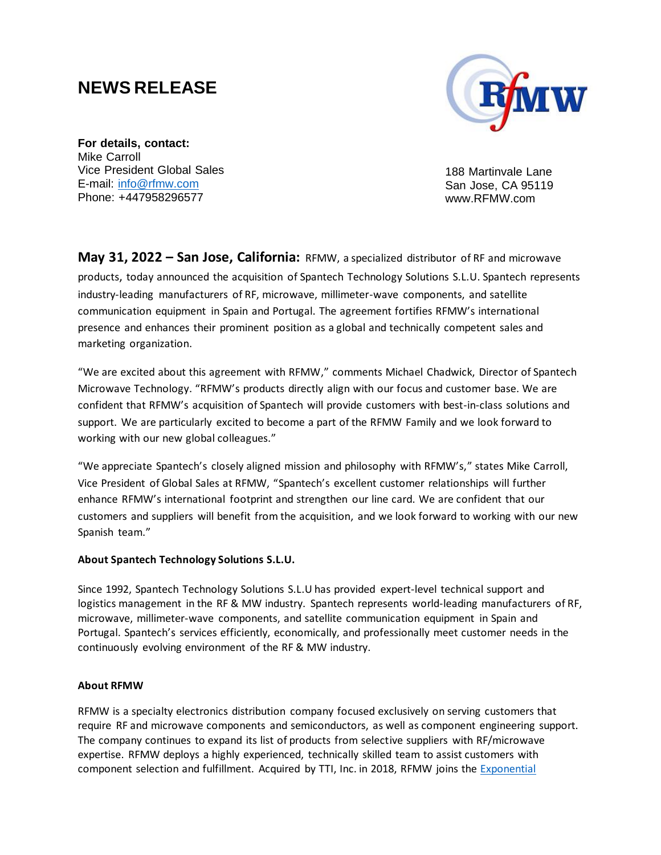## **[NEWS](http://www.xponentialgroup.com/) RELEASE**



**For details, contact:** Mike Carroll Vice President Global Sales E-mail: info@rfmw.com Phone: +447958296577

188 Martinvale Lane San Jose, CA 95119 www.RFMW.com

**May 31, 2022 – San Jose, California:** RFMW, a specialized distributor of RF and microwave products, today announced the acquisition of Spantech Technology Solutions S.L.U. Spantech represents industry-leading manufacturers of RF, microwave, millimeter-wave components, and satellite communication equipment in Spain and Portugal. The agreement fortifies RFMW's international presence and enhances their prominent position as a global and technically competent sales and marketing organization.

"We are excited about this agreement with RFMW," comments Michael Chadwick, Director of Spantech Microwave Technology. "RFMW's products directly align with our focus and customer base. We are confident that RFMW's acquisition of Spantech will provide customers with best-in-class solutions and support. We are particularly excited to become a part of the RFMW Family and we look forward to working with our new global colleagues."

"We appreciate Spantech's closely aligned mission and philosophy with RFMW's," states Mike Carroll, Vice President of Global Sales at RFMW, "Spantech's excellent customer relationships will further enhance RFMW's international footprint and strengthen our line card. We are confident that our customers and suppliers will benefit from the acquisition, and we look forward to working with our new Spanish team."

## **About Spantech Technology Solutions S.L.U.**

Since 1992, Spantech Technology Solutions S.L.U has provided expert-level technical support and logistics management in the RF & MW industry. Spantech represents world-leading manufacturers of RF, microwave, millimeter-wave components, and satellite communication equipment in Spain and Portugal. Spantech's services efficiently, economically, and professionally meet customer needs in the continuously evolving environment of the RF & MW industry.

## **About RFMW**

RFMW is a specialty electronics distribution company focused exclusively on serving customers that require RF and microwave components and semiconductors, as well as component engineering support. The company continues to expand its list of products from selective suppliers with RF/microwave expertise. RFMW deploys a highly experienced, technically skilled team to assist customers with component selection and fulfillment. Acquired by TTI, Inc. in 2018, RFMW joins the Exponential